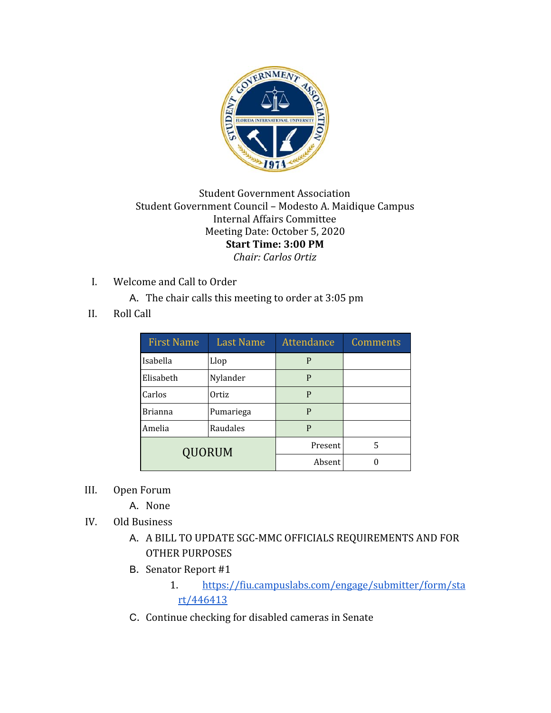

## Student Government Association Student Government Council – Modesto A. Maidique Campus Internal Affairs Committee Meeting Date: October 5, 2020 **Start Time: 3:00 PM** *Chair: Carlos Ortiz*

- I. Welcome and Call to Order
	- A. The chair calls this meeting to order at 3:05 pm
- II. Roll Call

| <b>First Name</b> | <b>Last Name</b> | Attendance | <b>Comments</b> |
|-------------------|------------------|------------|-----------------|
| Isabella          | Llop             | P          |                 |
| Elisabeth         | Nylander         | P          |                 |
| Carlos            | Ortiz            | P          |                 |
| <b>Brianna</b>    | Pumariega        | P          |                 |
| Amelia            | Raudales         | P          |                 |
| QUORUM            |                  | Present    | 5               |
|                   |                  | Absent     |                 |

- III. Open Forum
	- A. None
- IV. Old Business
	- A. A BILL TO UPDATE SGC-MMC OFFICIALS REQUIREMENTS AND FOR OTHER PURPOSES
	- B. Senator Report #1
		- 1. [https://fiu.campuslabs.com/engage/submitter/form/sta](https://fiu.campuslabs.com/engage/submitter/form/start/446413) [rt/446413](https://fiu.campuslabs.com/engage/submitter/form/start/446413)
	- C. Continue checking for disabled cameras in Senate